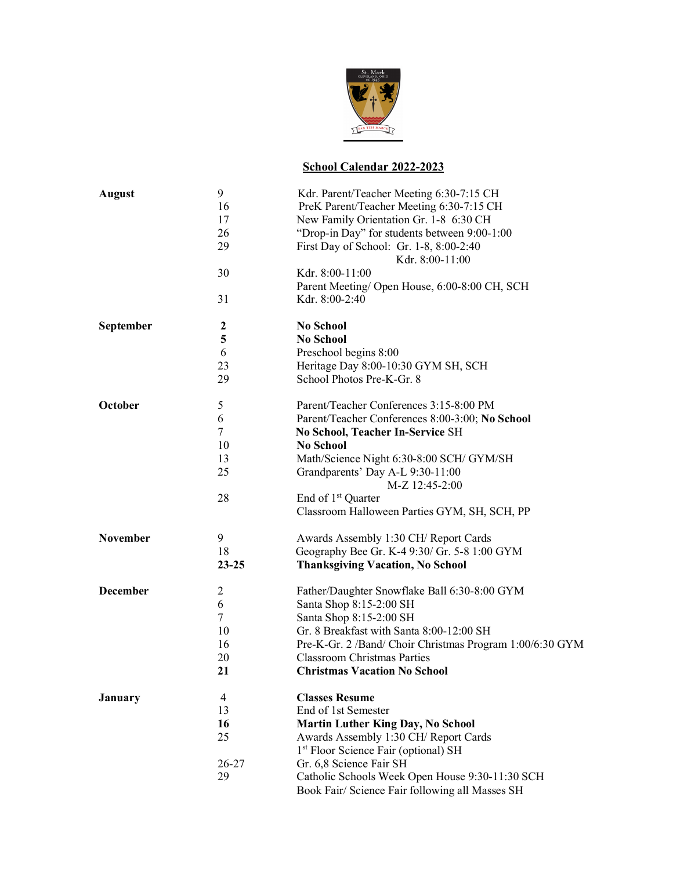

## **School Calendar 2022-2023**

| <b>August</b>   | 9         | Kdr. Parent/Teacher Meeting 6:30-7:15 CH                                      |
|-----------------|-----------|-------------------------------------------------------------------------------|
|                 | 16        | PreK Parent/Teacher Meeting 6:30-7:15 CH                                      |
|                 | 17        | New Family Orientation Gr. 1-8 6:30 CH                                        |
|                 | 26        | "Drop-in Day" for students between 9:00-1:00                                  |
|                 | 29        | First Day of School: Gr. 1-8, 8:00-2:40<br>Kdr. 8:00-11:00                    |
|                 | 30        | Kdr. 8:00-11:00<br>Parent Meeting/ Open House, 6:00-8:00 CH, SCH              |
|                 | 31        | Kdr. 8:00-2:40                                                                |
| September       | 2         | <b>No School</b>                                                              |
|                 | 5         | <b>No School</b>                                                              |
|                 | 6         | Preschool begins 8:00                                                         |
|                 | 23        | Heritage Day 8:00-10:30 GYM SH, SCH                                           |
|                 | 29        | School Photos Pre-K-Gr. 8                                                     |
| October         | 5         | Parent/Teacher Conferences 3:15-8:00 PM                                       |
|                 | 6         | Parent/Teacher Conferences 8:00-3:00; No School                               |
|                 | 7         | <b>No School, Teacher In-Service SH</b>                                       |
|                 | 10        | <b>No School</b>                                                              |
|                 | 13        | Math/Science Night 6:30-8:00 SCH/ GYM/SH                                      |
|                 | 25        | Grandparents' Day A-L 9:30-11:00<br>M-Z 12:45-2:00                            |
|                 | 28        | End of 1 <sup>st</sup> Quarter                                                |
|                 |           | Classroom Halloween Parties GYM, SH, SCH, PP                                  |
| November        | 9         | Awards Assembly 1:30 CH/ Report Cards                                         |
|                 | 18        | Geography Bee Gr. K-4 9:30/ Gr. 5-8 1:00 GYM                                  |
|                 | $23 - 25$ | <b>Thanksgiving Vacation, No School</b>                                       |
| <b>December</b> | 2         | Father/Daughter Snowflake Ball 6:30-8:00 GYM                                  |
|                 | 6         | Santa Shop 8:15-2:00 SH                                                       |
|                 | 7         | Santa Shop 8:15-2:00 SH                                                       |
|                 | 10        | Gr. 8 Breakfast with Santa 8:00-12:00 SH                                      |
|                 | 16        | Pre-K-Gr. 2 /Band/ Choir Christmas Program 1:00/6:30 GYM                      |
|                 | 20        | <b>Classroom Christmas Parties</b>                                            |
|                 | 21        | <b>Christmas Vacation No School</b>                                           |
| <b>January</b>  | 4         | <b>Classes Resume</b>                                                         |
|                 | 13        | End of 1st Semester                                                           |
|                 | 16        | <b>Martin Luther King Day, No School</b>                                      |
|                 | 25        | Awards Assembly 1:30 CH/ Report Cards<br>1st Floor Science Fair (optional) SH |
|                 | $26 - 27$ | Gr. 6,8 Science Fair SH                                                       |
|                 | 29        | Catholic Schools Week Open House 9:30-11:30 SCH                               |
|                 |           | Book Fair/ Science Fair following all Masses SH                               |